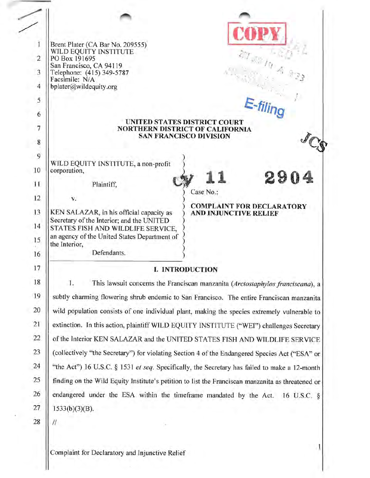| Brent Plater (CA Bar No. 209555)<br>WILD EQUITY INSTITUTE<br>PO Box 191695<br>San Francisco, CA 94119<br>Telephone: (415) 349-5787<br>Facsimile: N/A<br>bplater@wildequity.org                             |                               |                                  |
|------------------------------------------------------------------------------------------------------------------------------------------------------------------------------------------------------------|-------------------------------|----------------------------------|
|                                                                                                                                                                                                            |                               |                                  |
| NORTHERN DISTRICT OF CALIFORNIA                                                                                                                                                                            | UNITED STATES DISTRICT COURT  |                                  |
|                                                                                                                                                                                                            | <b>SAN FRANCISCO DIVISION</b> |                                  |
|                                                                                                                                                                                                            |                               |                                  |
| WILD EQUITY INSTITUTE, a non-profit<br>corporation,                                                                                                                                                        |                               |                                  |
| Plaintiff,                                                                                                                                                                                                 |                               |                                  |
| v.                                                                                                                                                                                                         | Case No.:                     | <b>COMPLAINT FOR DECLARATORY</b> |
| KEN SALAZAR, in his official capacity as<br>Secretary of the Interior; and the UNITED<br>STATES FISH AND WILDLIFE SERVICE,<br>an agency of the United States Department of<br>the Interior,<br>Defendants. | <b>AND INJUNCTIVE RELIEF</b>  |                                  |
|                                                                                                                                                                                                            | <b>I. INTRODUCTION</b>        |                                  |
| 1.<br>This lawsuit concerns the Franciscan manzanita (Arctostaphylos franciscana), a                                                                                                                       |                               |                                  |
| subtly charming flowering shrub endemic to San Francisco. The entire Franciscan manzanita                                                                                                                  |                               |                                  |
| wild population consists of one individual plant, making the species extremely vulnerable to                                                                                                               |                               |                                  |
| extinction. In this action, plaintiff WILD EQUITY INSTITUTE ("WEI") challenges Secretary                                                                                                                   |                               |                                  |
| of the Interior KEN SALAZAR and the UNITED STATES FISH AND WILDLIFE SERVICE                                                                                                                                |                               |                                  |
| (collectively "the Secretary") for violating Section 4 of the Endangered Species Act ("ESA" or                                                                                                             |                               |                                  |
| "the Act") 16 U.S.C. § 1531 et seq. Specifically, the Secretary has failed to make a 12-month                                                                                                              |                               |                                  |
| finding on the Wild Equity Institute's petition to list the Franciscan manzanita as threatened or                                                                                                          |                               |                                  |
|                                                                                                                                                                                                            |                               |                                  |
| endangered under the ESA within the timeframe mandated by the Act. 16 U.S.C. §                                                                                                                             |                               |                                  |
| $1533(b)(3)(B)$ .                                                                                                                                                                                          |                               |                                  |

Complaint for Declaratory and Injunctive Relief

II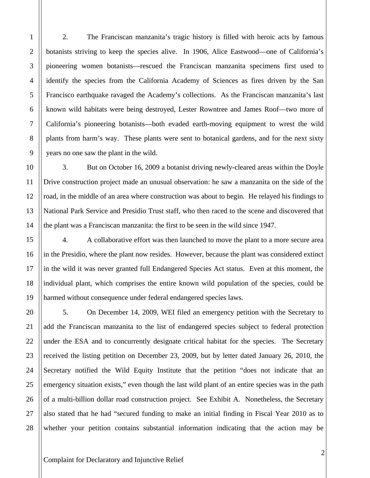2. The Franciscan manzanita's tragic history is filled with heroic acts by famous botanists striving to keep the species alive. In 1906, Alice Eastwood—one of California's pioneering women botanists—rescued the Franciscan manzanita specimens first used to identify the species from the California Academy of Sciences as fires driven by the San Francisco earthquake ravaged the Academy's collections. As the Franciscan manzanita's last known wild habitats were being destroyed, Lester Rowntree and James Roof—two more of California's pioneering botanists—both evaded earth-moving equipment to wrest the wild plants from harm's way. These plants were sent to botanical gardens, and for the next sixty years no one saw the plant in the wild.

3. But on October 16, 2009 a botanist driving newly-cleared areas within the Doyle Drive construction project made an unusual observation: he saw a manzanita on the side of the road, in the middle of an area where construction was about to begin. He relayed his findings to National Park Service and Presidio Trust staff, who then raced to the scene and discovered that the plant was a Franciscan manzanita: the first to be seen in the wild since 1947.

4. A collaborative effort was then launched to move the plant to a more secure area in the Presidio, where the plant now resides. However, because the plant was considered extinct in the wild it was never granted full Endangered Species Act status. Even at this moment, the individual plant, which comprises the entire known wild population of the species, could be harmed without consequence under federal endangered species laws.

5. On December 14, 2009, WEI filed an emergency petition with the Secretary to add the Franciscan manzanita to the list of endangered species subject to federal protection under the ESA and to concurrently designate critical habitat for the species. The Secretary received the listing petition on December 23, 2009, but by letter dated January 26, 2010, the Secretary notified the Wild Equity Institute that the petition "does not indicate that an emergency situation exists," even though the last wild plant of an entire species was in the path of a multi-billion dollar road construction project. See Exhibit A. Nonetheless, the Secretary also stated that he had "secured funding to make an initial finding in Fiscal Year 2010 as to whether your petition contains substantial information indicating that the action may be

1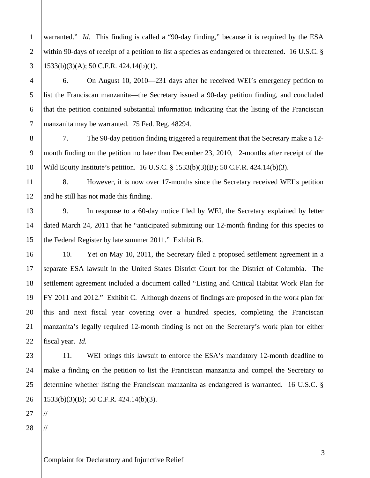warranted." *Id.* This finding is called a "90-day finding," because it is required by the ESA within 90-days of receipt of a petition to list a species as endangered or threatened. 16 U.S.C. § 1533(b)(3)(A); 50 C.F.R. 424.14(b)(1).

6. On August 10, 2010—231 days after he received WEI's emergency petition to list the Franciscan manzanita—the Secretary issued a 90-day petition finding, and concluded that the petition contained substantial information indicating that the listing of the Franciscan manzanita may be warranted. 75 Fed. Reg. 48294.

7. The 90-day petition finding triggered a requirement that the Secretary make a 12 month finding on the petition no later than December 23, 2010, 12-months after receipt of the Wild Equity Institute's petition. 16 U.S.C. § 1533(b)(3)(B); 50 C.F.R. 424.14(b)(3).

8. However, it is now over 17-months since the Secretary received WEI's petition and he still has not made this finding.

9. In response to a 60-day notice filed by WEI, the Secretary explained by letter dated March 24, 2011 that he "anticipated submitting our 12-month finding for this species to the Federal Register by late summer 2011." Exhibit B.

10. Yet on May 10, 2011, the Secretary filed a proposed settlement agreement in a separate ESA lawsuit in the United States District Court for the District of Columbia. The settlement agreement included a document called "Listing and Critical Habitat Work Plan for FY 2011 and 2012." Exhibit C. Although dozens of findings are proposed in the work plan for this and next fiscal year covering over a hundred species, completing the Franciscan manzanita's legally required 12-month finding is not on the Secretary's work plan for either fiscal year. *Id.*

11. WEI brings this lawsuit to enforce the ESA's mandatory 12-month deadline to make a finding on the petition to list the Franciscan manzanita and compel the Secretary to determine whether listing the Franciscan manzanita as endangered is warranted. 16 U.S.C. § 1533(b)(3)(B); 50 C.F.R. 424.14(b)(3).

28

//

//

1

2

3

4

5

6

7

8

9

10

11

12

13

14

15

16

17

18

19

20

21

22

23

24

25

26

27

Complaint for Declaratory and Injunctive Relief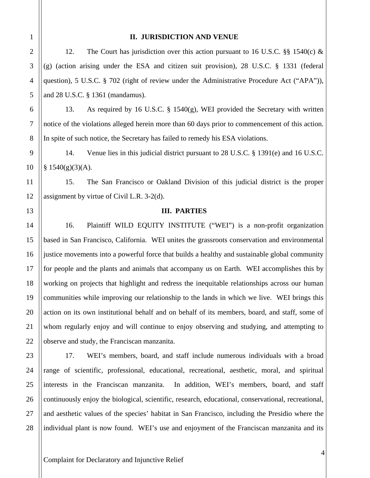#### 1 **II. JURISDICTION AND VENUE**

12. The Court has jurisdiction over this action pursuant to 16 U.S.C. §§ 1540(c) & (g) (action arising under the ESA and citizen suit provision), 28 U.S.C. § 1331 (federal question), 5 U.S.C. § 702 (right of review under the Administrative Procedure Act ("APA")), and 28 U.S.C. § 1361 (mandamus).

13. As required by 16 U.S.C. § 1540(g), WEI provided the Secretary with written notice of the violations alleged herein more than 60 days prior to commencement of this action. In spite of such notice, the Secretary has failed to remedy his ESA violations.

14. Venue lies in this judicial district pursuant to 28 U.S.C. § 1391(e) and 16 U.S.C.  $§ 1540(g)(3)(A).$ 

15. The San Francisco or Oakland Division of this judicial district is the proper assignment by virtue of Civil L.R. 3-2(d).

#### **III. PARTIES**

16. Plaintiff WILD EQUITY INSTITUTE ("WEI") is a non-profit organization based in San Francisco, California. WEI unites the grassroots conservation and environmental justice movements into a powerful force that builds a healthy and sustainable global community for people and the plants and animals that accompany us on Earth. WEI accomplishes this by working on projects that highlight and redress the inequitable relationships across our human communities while improving our relationship to the lands in which we live. WEI brings this action on its own institutional behalf and on behalf of its members, board, and staff, some of whom regularly enjoy and will continue to enjoy observing and studying, and attempting to observe and study, the Franciscan manzanita.

17. WEI's members, board, and staff include numerous individuals with a broad range of scientific, professional, educational, recreational, aesthetic, moral, and spiritual interests in the Franciscan manzanita. In addition, WEI's members, board, and staff continuously enjoy the biological, scientific, research, educational, conservational, recreational, and aesthetic values of the species' habitat in San Francisco, including the Presidio where the individual plant is now found. WEI's use and enjoyment of the Franciscan manzanita and its

2

Complaint for Declaratory and Injunctive Relief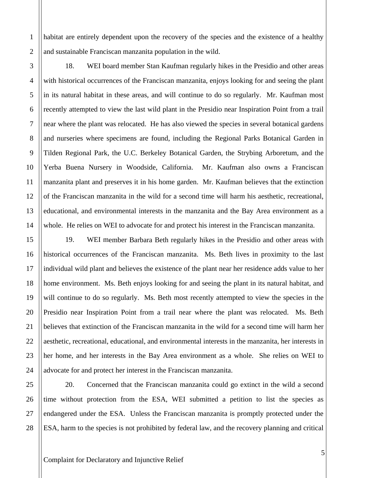habitat are entirely dependent upon the recovery of the species and the existence of a healthy and sustainable Franciscan manzanita population in the wild.

1

2

3

4

5

6

7

8

9

10

11

12

13

14

15

16

17

18

19

20

21

22

23

24

18. WEI board member Stan Kaufman regularly hikes in the Presidio and other areas with historical occurrences of the Franciscan manzanita, enjoys looking for and seeing the plant in its natural habitat in these areas, and will continue to do so regularly. Mr. Kaufman most recently attempted to view the last wild plant in the Presidio near Inspiration Point from a trail near where the plant was relocated. He has also viewed the species in several botanical gardens and nurseries where specimens are found, including the Regional Parks Botanical Garden in Tilden Regional Park, the U.C. Berkeley Botanical Garden, the Strybing Arboretum, and the Yerba Buena Nursery in Woodside, California. Mr. Kaufman also owns a Franciscan manzanita plant and preserves it in his home garden. Mr. Kaufman believes that the extinction of the Franciscan manzanita in the wild for a second time will harm his aesthetic, recreational, educational, and environmental interests in the manzanita and the Bay Area environment as a whole. He relies on WEI to advocate for and protect his interest in the Franciscan manzanita.

19. WEI member Barbara Beth regularly hikes in the Presidio and other areas with historical occurrences of the Franciscan manzanita. Ms. Beth lives in proximity to the last individual wild plant and believes the existence of the plant near her residence adds value to her home environment. Ms. Beth enjoys looking for and seeing the plant in its natural habitat, and will continue to do so regularly. Ms. Beth most recently attempted to view the species in the Presidio near Inspiration Point from a trail near where the plant was relocated. Ms. Beth believes that extinction of the Franciscan manzanita in the wild for a second time will harm her aesthetic, recreational, educational, and environmental interests in the manzanita, her interests in her home, and her interests in the Bay Area environment as a whole. She relies on WEI to advocate for and protect her interest in the Franciscan manzanita.

25 26 27 28 20. Concerned that the Franciscan manzanita could go extinct in the wild a second time without protection from the ESA, WEI submitted a petition to list the species as endangered under the ESA. Unless the Franciscan manzanita is promptly protected under the ESA, harm to the species is not prohibited by federal law, and the recovery planning and critical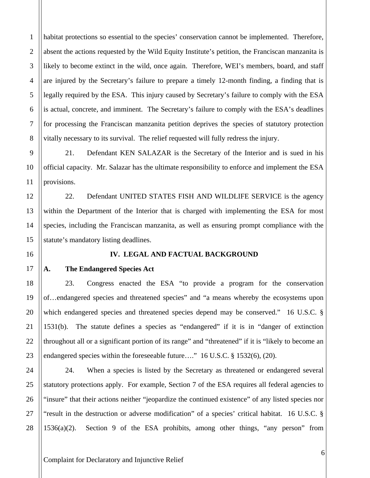habitat protections so essential to the species' conservation cannot be implemented. Therefore, absent the actions requested by the Wild Equity Institute's petition, the Franciscan manzanita is likely to become extinct in the wild, once again. Therefore, WEI's members, board, and staff are injured by the Secretary's failure to prepare a timely 12-month finding, a finding that is legally required by the ESA. This injury caused by Secretary's failure to comply with the ESA is actual, concrete, and imminent. The Secretary's failure to comply with the ESA's deadlines for processing the Franciscan manzanita petition deprives the species of statutory protection vitally necessary to its survival. The relief requested will fully redress the injury.

21. Defendant KEN SALAZAR is the Secretary of the Interior and is sued in his official capacity. Mr. Salazar has the ultimate responsibility to enforce and implement the ESA provisions.

22. Defendant UNITED STATES FISH AND WILDLIFE SERVICE is the agency within the Department of the Interior that is charged with implementing the ESA for most species, including the Franciscan manzanita, as well as ensuring prompt compliance with the statute's mandatory listing deadlines.

#### **IV. LEGAL AND FACTUAL BACKGROUND**

#### **A. The Endangered Species Act**

23. Congress enacted the ESA "to provide a program for the conservation of…endangered species and threatened species" and "a means whereby the ecosystems upon which endangered species and threatened species depend may be conserved." 16 U.S.C. § 1531(b). The statute defines a species as "endangered" if it is in "danger of extinction throughout all or a significant portion of its range" and "threatened" if it is "likely to become an endangered species within the foreseeable future...." 16 U.S.C. § 1532(6), (20).

24. When a species is listed by the Secretary as threatened or endangered several statutory protections apply. For example, Section 7 of the ESA requires all federal agencies to "insure" that their actions neither "jeopardize the continued existence" of any listed species nor "result in the destruction or adverse modification" of a species' critical habitat. 16 U.S.C. § 1536(a)(2). Section 9 of the ESA prohibits, among other things, "any person" from

1

2

3

4

5

6

7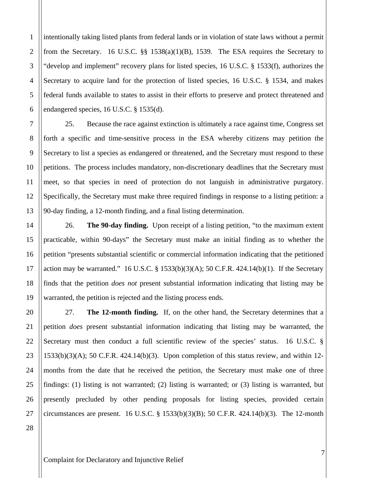1

2

3

intentionally taking listed plants from federal lands or in violation of state laws without a permit from the Secretary. 16 U.S.C.  $\S$ § 1538(a)(1)(B), 1539. The ESA requires the Secretary to "develop and implement" recovery plans for listed species, 16 U.S.C. § 1533(f), authorizes the Secretary to acquire land for the protection of listed species, 16 U.S.C. § 1534, and makes federal funds available to states to assist in their efforts to preserve and protect threatened and endangered species, 16 U.S.C. § 1535(d).

25. Because the race against extinction is ultimately a race against time, Congress set forth a specific and time-sensitive process in the ESA whereby citizens may petition the Secretary to list a species as endangered or threatened, and the Secretary must respond to these petitions. The process includes mandatory, non-discretionary deadlines that the Secretary must meet, so that species in need of protection do not languish in administrative purgatory. Specifically, the Secretary must make three required findings in response to a listing petition: a 90-day finding, a 12-month finding, and a final listing determination.

26. **The 90-day finding.** Upon receipt of a listing petition, "to the maximum extent practicable, within 90-days" the Secretary must make an initial finding as to whether the petition "presents substantial scientific or commercial information indicating that the petitioned action may be warranted." 16 U.S.C.  $\S$  1533(b)(3)(A); 50 C.F.R. 424.14(b)(1). If the Secretary finds that the petition *does not* present substantial information indicating that listing may be warranted, the petition is rejected and the listing process ends.

27. **The 12-month finding.** If, on the other hand, the Secretary determines that a petition *does* present substantial information indicating that listing may be warranted, the Secretary must then conduct a full scientific review of the species' status. 16 U.S.C. §  $1533(b)(3)(A)$ ; 50 C.F.R.  $424.14(b)(3)$ . Upon completion of this status review, and within 12months from the date that he received the petition, the Secretary must make one of three findings: (1) listing is not warranted; (2) listing is warranted; or (3) listing is warranted, but presently precluded by other pending proposals for listing species, provided certain circumstances are present. 16 U.S.C. § 1533(b)(3)(B); 50 C.F.R. 424.14(b)(3). The 12-month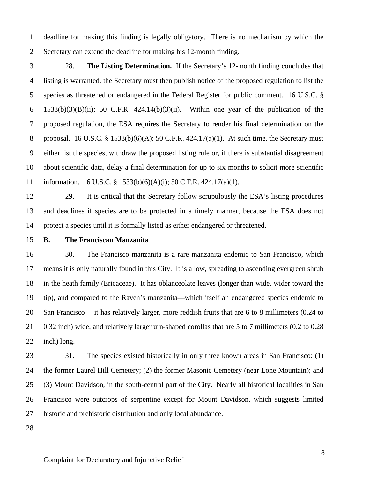deadline for making this finding is legally obligatory. There is no mechanism by which the Secretary can extend the deadline for making his 12-month finding.

28. **The Listing Determination.** If the Secretary's 12-month finding concludes that listing is warranted, the Secretary must then publish notice of the proposed regulation to list the species as threatened or endangered in the Federal Register for public comment. 16 U.S.C. §  $1533(b)(3)(B)(ii)$ ; 50 C.F.R.  $424.14(b)(3)(ii)$ . Within one year of the publication of the proposed regulation, the ESA requires the Secretary to render his final determination on the proposal. 16 U.S.C. § 1533(b)(6)(A); 50 C.F.R.  $424.17(a)(1)$ . At such time, the Secretary must either list the species, withdraw the proposed listing rule or, if there is substantial disagreement about scientific data, delay a final determination for up to six months to solicit more scientific information. 16 U.S.C. § 1533(b)(6)(A)(i); 50 C.F.R. 424.17(a)(1).

29. It is critical that the Secretary follow scrupulously the ESA's listing procedures and deadlines if species are to be protected in a timely manner, because the ESA does not protect a species until it is formally listed as either endangered or threatened.

15

1

2

3

4

5

6

7

8

9

10

11

12

13

14

16

17

18

19

20

#### **B. The Franciscan Manzanita**

30. The Francisco manzanita is a rare manzanita endemic to San Francisco, which means it is only naturally found in this City. It is a low, spreading to ascending evergreen shrub in the heath family (Ericaceae). It has oblanceolate leaves (longer than wide, wider toward the tip), and compared to the Raven's manzanita—which itself an endangered species endemic to San Francisco— it has relatively larger, more reddish fruits that are 6 to 8 millimeters (0.24 to 0.32 inch) wide, and relatively larger urn-shaped corollas that are 5 to 7 millimeters (0.2 to 0.28 inch) long.

31. The species existed historically in only three known areas in San Francisco: (1) the former Laurel Hill Cemetery; (2) the former Masonic Cemetery (near Lone Mountain); and (3) Mount Davidson, in the south-central part of the City. Nearly all historical localities in San Francisco were outcrops of serpentine except for Mount Davidson, which suggests limited historic and prehistoric distribution and only local abundance.

Complaint for Declaratory and Injunctive Relief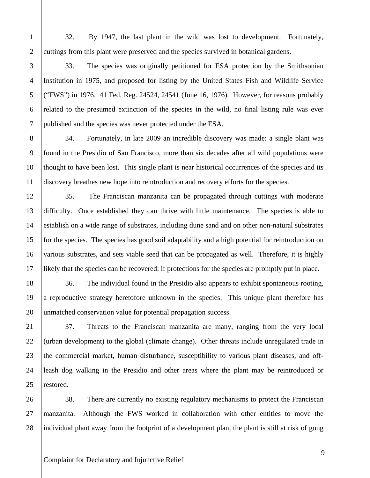32. By 1947, the last plant in the wild was lost to development. Fortunately, cuttings from this plant were preserved and the species survived in botanical gardens.

33. The species was originally petitioned for ESA protection by the Smithsonian Institution in 1975, and proposed for listing by the United States Fish and Wildlife Service ("FWS") in 1976. 41 Fed. Reg. 24524, 24541 (June 16, 1976). However, for reasons probably related to the presumed extinction of the species in the wild, no final listing rule was ever published and the species was never protected under the ESA.

34. Fortunately, in late 2009 an incredible discovery was made: a single plant was found in the Presidio of San Francisco, more than six decades after all wild populations were thought to have been lost. This single plant is near historical occurrences of the species and its discovery breathes new hope into reintroduction and recovery efforts for the species.

35. The Franciscan manzanita can be propagated through cuttings with moderate difficulty. Once established they can thrive with little maintenance. The species is able to establish on a wide range of substrates, including dune sand and on other non-natural substrates for the species. The species has good soil adaptability and a high potential for reintroduction on various substrates, and sets viable seed that can be propagated as well. Therefore, it is highly likely that the species can be recovered: if protections for the species are promptly put in place.

36. The individual found in the Presidio also appears to exhibit spontaneous rooting, a reproductive strategy heretofore unknown in the species. This unique plant therefore has unmatched conservation value for potential propagation success.

37. Threats to the Franciscan manzanita are many, ranging from the very local (urban development) to the global (climate change). Other threats include unregulated trade in the commercial market, human disturbance, susceptibility to various plant diseases, and offleash dog walking in the Presidio and other areas where the plant may be reintroduced or restored.

38. There are currently no existing regulatory mechanisms to protect the Franciscan manzanita. Although the FWS worked in collaboration with other entities to move the individual plant away from the footprint of a development plan, the plant is still at risk of gong

1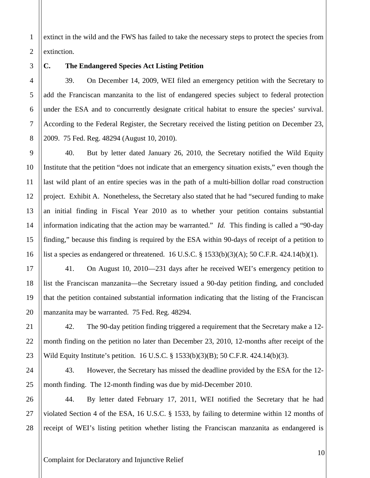extinct in the wild and the FWS has failed to take the necessary steps to protect the species from extinction.

1

2

3

4

5

6

7

8

9

10

11

12

13

14

15

16

17

18

19

20

21

22

23

24

25

26

27

28

### **C. The Endangered Species Act Listing Petition**

39. On December 14, 2009, WEI filed an emergency petition with the Secretary to add the Franciscan manzanita to the list of endangered species subject to federal protection under the ESA and to concurrently designate critical habitat to ensure the species' survival. According to the Federal Register, the Secretary received the listing petition on December 23, 2009. 75 Fed. Reg. 48294 (August 10, 2010).

40. But by letter dated January 26, 2010, the Secretary notified the Wild Equity Institute that the petition "does not indicate that an emergency situation exists," even though the last wild plant of an entire species was in the path of a multi-billion dollar road construction project. Exhibit A. Nonetheless, the Secretary also stated that he had "secured funding to make an initial finding in Fiscal Year 2010 as to whether your petition contains substantial information indicating that the action may be warranted." *Id.* This finding is called a "90-day finding," because this finding is required by the ESA within 90-days of receipt of a petition to list a species as endangered or threatened. 16 U.S.C. § 1533(b)(3)(A); 50 C.F.R. 424.14(b)(1).

41. On August 10, 2010—231 days after he received WEI's emergency petition to list the Franciscan manzanita—the Secretary issued a 90-day petition finding, and concluded that the petition contained substantial information indicating that the listing of the Franciscan manzanita may be warranted. 75 Fed. Reg. 48294.

42. The 90-day petition finding triggered a requirement that the Secretary make a 12 month finding on the petition no later than December 23, 2010, 12-months after receipt of the Wild Equity Institute's petition. 16 U.S.C. § 1533(b)(3)(B); 50 C.F.R. 424.14(b)(3).

43. However, the Secretary has missed the deadline provided by the ESA for the 12 month finding. The 12-month finding was due by mid-December 2010.

44. By letter dated February 17, 2011, WEI notified the Secretary that he had violated Section 4 of the ESA, 16 U.S.C. § 1533, by failing to determine within 12 months of receipt of WEI's listing petition whether listing the Franciscan manzanita as endangered is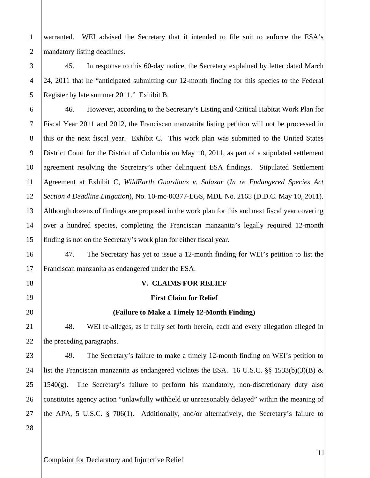warranted. WEI advised the Secretary that it intended to file suit to enforce the ESA's mandatory listing deadlines.

45. In response to this 60-day notice, the Secretary explained by letter dated March 24, 2011 that he "anticipated submitting our 12-month finding for this species to the Federal Register by late summer 2011." Exhibit B.

46. However, according to the Secretary's Listing and Critical Habitat Work Plan for Fiscal Year 2011 and 2012, the Franciscan manzanita listing petition will not be processed in this or the next fiscal year. Exhibit C. This work plan was submitted to the United States District Court for the District of Columbia on May 10, 2011, as part of a stipulated settlement agreement resolving the Secretary's other delinquent ESA findings. Stipulated Settlement Agreement at Exhibit C, *WildEarth Guardians v. Salazar* (*In re Endangered Species Act Section 4 Deadline Litigation*)*,* No. 10-mc-00377-EGS, MDL No. 2165 (D.D.C. May 10, 2011). Although dozens of findings are proposed in the work plan for this and next fiscal year covering over a hundred species, completing the Franciscan manzanita's legally required 12-month finding is not on the Secretary's work plan for either fiscal year.

47. The Secretary has yet to issue a 12-month finding for WEI's petition to list the Franciscan manzanita as endangered under the ESA.

#### **V. CLAIMS FOR RELIEF**

#### **First Claim for Relief**

#### **(Failure to Make a Timely 12-Month Finding)**

48. WEI re-alleges, as if fully set forth herein, each and every allegation alleged in the preceding paragraphs.

49. The Secretary's failure to make a timely 12-month finding on WEI's petition to list the Franciscan manzanita as endangered violates the ESA. 16 U.S.C.  $\S\S$  1533(b)(3)(B) &  $1540(g)$ . The Secretary's failure to perform his mandatory, non-discretionary duty also constitutes agency action "unlawfully withheld or unreasonably delayed" within the meaning of the APA, 5 U.S.C. § 706(1). Additionally, and/or alternatively, the Secretary's failure to

1

2

3

4

5

6

Complaint for Declaratory and Injunctive Relief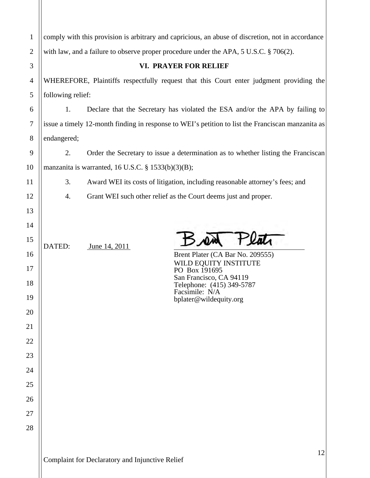| $\mathbf{1}$   | comply with this provision is arbitrary and capricious, an abuse of discretion, not in accordance |                                                                                         |                                                                              |  |  |
|----------------|---------------------------------------------------------------------------------------------------|-----------------------------------------------------------------------------------------|------------------------------------------------------------------------------|--|--|
| $\overline{2}$ |                                                                                                   | with law, and a failure to observe proper procedure under the APA, 5 U.S.C. § 706(2).   |                                                                              |  |  |
| 3              |                                                                                                   | <b>VI. PRAYER FOR RELIEF</b>                                                            |                                                                              |  |  |
| 4              |                                                                                                   | WHEREFORE, Plaintiffs respectfully request that this Court enter judgment providing the |                                                                              |  |  |
| 5              |                                                                                                   | following relief:                                                                       |                                                                              |  |  |
| 6              | 1.                                                                                                |                                                                                         | Declare that the Secretary has violated the ESA and/or the APA by failing to |  |  |
| $\overline{7}$ | issue a timely 12-month finding in response to WEI's petition to list the Franciscan manzanita as |                                                                                         |                                                                              |  |  |
| 8              | endangered;                                                                                       |                                                                                         |                                                                              |  |  |
| 9              | Order the Secretary to issue a determination as to whether listing the Franciscan<br>2.           |                                                                                         |                                                                              |  |  |
| 10             | manzanita is warranted, 16 U.S.C. $\S$ 1533(b)(3)(B);                                             |                                                                                         |                                                                              |  |  |
| 11             | 3.                                                                                                |                                                                                         | Award WEI its costs of litigation, including reasonable attorney's fees; and |  |  |
| 12             | 4.                                                                                                |                                                                                         | Grant WEI such other relief as the Court deems just and proper.              |  |  |
| 13             |                                                                                                   |                                                                                         |                                                                              |  |  |
| 14             |                                                                                                   |                                                                                         |                                                                              |  |  |
| 15             | DATED:                                                                                            | June 14, 2011                                                                           |                                                                              |  |  |
| 16             |                                                                                                   |                                                                                         | Brent Plater (CA Bar No. 209555)<br>WILD EQUITY INSTITUTE                    |  |  |
| 17             |                                                                                                   |                                                                                         | PO Box 191695<br>San Francisco, CA 94119                                     |  |  |
| 18             |                                                                                                   |                                                                                         | Telephone: (415) 349-5787<br>Facsimile: N/A                                  |  |  |
| 19             |                                                                                                   |                                                                                         | bplater@wildequity.org                                                       |  |  |
| 20             |                                                                                                   |                                                                                         |                                                                              |  |  |
| 21<br>22       |                                                                                                   |                                                                                         |                                                                              |  |  |
| 23             |                                                                                                   |                                                                                         |                                                                              |  |  |
| 24             |                                                                                                   |                                                                                         |                                                                              |  |  |
| 25             |                                                                                                   |                                                                                         |                                                                              |  |  |
| 26             |                                                                                                   |                                                                                         |                                                                              |  |  |
| 27             |                                                                                                   |                                                                                         |                                                                              |  |  |
| 28             |                                                                                                   |                                                                                         |                                                                              |  |  |
|                |                                                                                                   |                                                                                         |                                                                              |  |  |
|                |                                                                                                   | Complaint for Declaratory and Injunctive Relief                                         | 12                                                                           |  |  |

 $\parallel$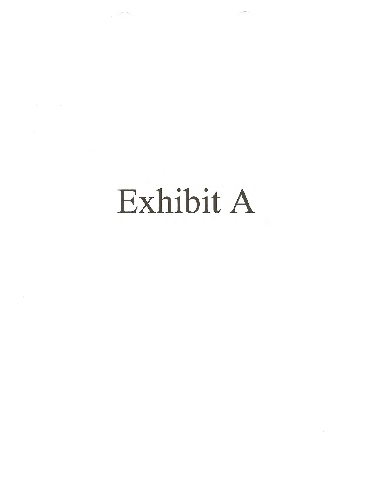Exhibit A

and the state of the

 $\label{eq:2.1} \frac{\partial}{\partial t} \left( \frac{\partial}{\partial x} \right) = \frac{\partial}{\partial x} \left( \frac{\partial}{\partial x} \right) = \frac{\partial}{\partial x} \left( \frac{\partial}{\partial x} \right)$ 

 $\mathfrak{g}=\mathfrak{g}=\mathfrak{g}$  , where

**Contract Contract**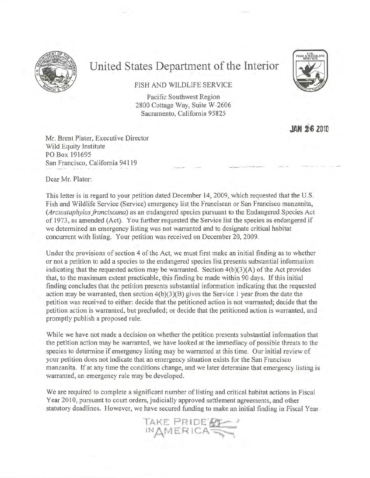

## United States Department of the Interior

FISH AND WILDLIFE SERVICE

Pacific Southwest Region 2800 Cottage Way, Suite W-2606 Sacramento, California 95825

**JAN 26 2010** 

Mr. Brent Plater, Executive Director Wild Equity Institute PO Box 191695 San Francisco, California 94119

Dear Mr. Plater:

This letter is in regard to your petition dated December 14, 2009, which requested that the U.S. Fish and Wildlife Service (Service) emergency list the Franciscan or San Francisco manzanita, (Arctostaphylos franciscana) as an endangered species pursuant to the Endangered Species Act of 1973, as amended (Act). You further requested the Service list the species as endangered if we determined an emergency listing was not warranted and to designate critical habitat concurrent with listing. Your petition was received on December 20, 2009.

Under the provisions of section 4 of the Act, we must first make an initial finding as to whether or not a petition to add a species to the endangered species list presents substantial information indicating that the requested action may be warranted. Section  $4(b)(3)(A)$  of the Act provides that, to the maximum extent practicable, this finding be made within 90 days. If this initial finding concludes that the petition presents substantial information indicating that the requested action may be warranted, then section  $4(b)(3)(B)$  gives the Service 1 year from the date the petition was received to either: decide that the petitioned action is not warranted; decide that the petition action is warranted, but precluded; or decide that the petitioned action is warranted, and promptly publish a proposed rule.

While we have not made a decision on whether the petition presents substantial information that the petition action may be warranted, we have looked at the immediacy of possible threats to the species to determine if emergency listing may be warranted at this time. Our initial review of your petition does not indicate that an emergency situation exists for the San Francisco manzanita. If at any time the conditions change, and we later determine that emergency listing is warranted, an emergency rule may be developed.

We are required to complete a significant number of listing and critical habitat actions in Fiscal Year 2010, pursuant to court orders, judicially approved settlement agreements, and other statutory deadlines. However, we have secured funding to make an initial finding in Fiscal Year

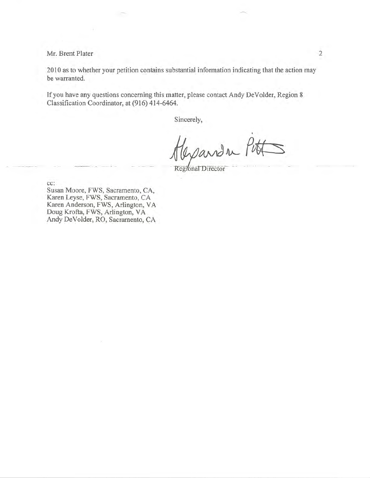Mr. Brent Plater

2010 as to whether your petition contains substantial information indicating that the action may be warranted.

If you have any questions concerning this matter, please contact Andy DeVolder, Region 8 Classification Coordinator, at (916) 414-6464.

Sincerely,

andr F

Regional Director

cc:

Susan Moore, FWS, Sacramento, CA, Karen Leyse, FWS, Sacramento, CA Karen Anderson, FWS, Arlington, VA Doug Krofta, FWS, Arlington, VA Andy DeVolder, RO, Sacramento, CA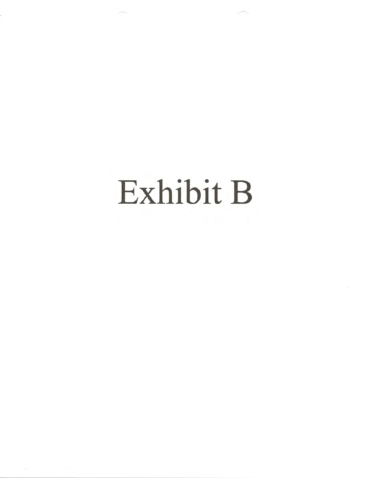## Exhibit B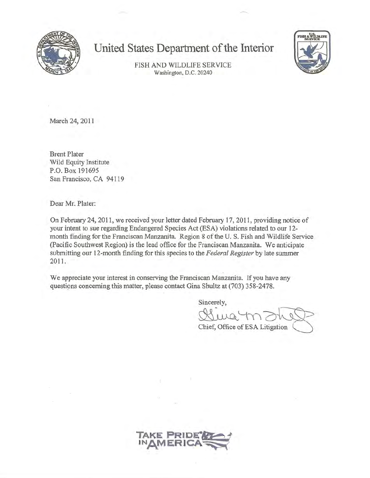

### United States Department of the Interior



FISH AND WILDLIFE SERVICE Washington, D.C. 20240

March 24, 2011

**Brent Plater** Wild Equity Institute P.O. Box 191695 San Francisco, CA 94119

Dear Mr. Plater:

On February 24, 2011, we received your letter dated February 17, 2011, providing notice of your intent to sue regarding Endangered Species Act (ESA) violations related to our 12month finding for the Franciscan Manzanita. Region 8 of the U.S. Fish and Wildlife Service (Pacific Southwest Region) is the lead office for the Franciscan Manzanita. We anticipate submitting our 12-month finding for this species to the Federal Register by late summer 2011.

We appreciate your interest in conserving the Franciscan Manzanita. If you have any questions concerning this matter, please contact Gina Shultz at (703) 358-2478.

Sincerely,

way

Chief, Office of ESA Litigation

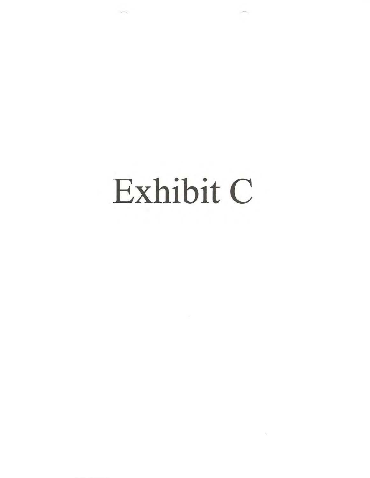# Exhibit C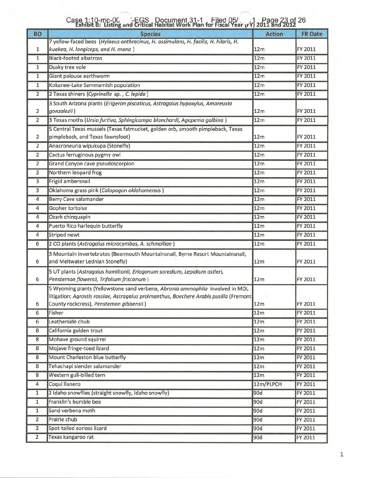## Case 1:10-mc-00 '-EGS Document 31-1 Filed 05/<br>Exhibit B: Listing and Critical Habitat Work Plan for Fiscal Year (rY) 2011 and 2012

| <b>RO</b>      | <b>Species</b>                                                                                                                                                                                                     | <b>Action</b> | <b>FR Date</b> |
|----------------|--------------------------------------------------------------------------------------------------------------------------------------------------------------------------------------------------------------------|---------------|----------------|
|                | 7 yellow-faced bees (Hylaeus anthracinus, H. assimulans, H. facilis, H. hilaris, H.                                                                                                                                |               |                |
| 1              | kuakea, H. longiceps, and H. mana)                                                                                                                                                                                 | 12m           | FY 2011        |
| 1              | <b>Black-footed albatross</b>                                                                                                                                                                                      | 12m           | FY 2011        |
| $\mathbf{1}$   | Dusky tree vole                                                                                                                                                                                                    | 12m           | FY 2011        |
| $\mathbf{1}$   | Giant palouse earthworm                                                                                                                                                                                            | 12m           | FY 2011        |
| $\mathbf{1}$   | Kokanee-Lake Sammamish population                                                                                                                                                                                  | 12m           | FY 2011        |
| $\overline{2}$ | 2 Texas shiners (Cyprinella sp., C. lepida)                                                                                                                                                                        | 12m           | FY 2011        |
| $\overline{2}$ | 3 South Arizona plants (Erigeron piscaticus, Astragalus hypoxylus, Amoreuxia<br>gonzalezii)                                                                                                                        | 12m           | FY 2011        |
| $\overline{2}$ | 3 Texas moths (Ursia furtiva, Sphingicampa blanchardi, Agapema galbina)                                                                                                                                            | 12m           | FY 2011        |
|                | 5 Central Texas mussels (Texas fatmucket, golden orb, smooth pimpleback, Texas                                                                                                                                     |               |                |
| $\overline{2}$ | pimpleback, and Texas fawnsfoot)                                                                                                                                                                                   | 12m           | FY 2011        |
| $\overline{2}$ | Anacroneuria wipukupa (Stonefly)                                                                                                                                                                                   | 12m           | FY 2011        |
| $\overline{2}$ | Cactus ferruginous pygmy owl                                                                                                                                                                                       | 12m           | FY 2011        |
| 2              | Grand Canyon cave pseudoscorpion                                                                                                                                                                                   | 12m           | FY 2011        |
| $\overline{2}$ | Northern leopard frog                                                                                                                                                                                              | 12m           | FY 2011        |
| 3              | Frigid ambersnail                                                                                                                                                                                                  | 12m           | FY 2011        |
| 3              | Oklahoma grass pink (Calopogon oklahomensis)                                                                                                                                                                       | 12m           | FY 2011        |
| 4              | Berry Cave salamander                                                                                                                                                                                              | 12m           | FY 2011        |
| 4              | Gopher tortoise                                                                                                                                                                                                    | 12m           | FY 2011        |
| 4              | Ozark chinquapin                                                                                                                                                                                                   | 12m           | FY 2011        |
| 4              | Puerto Rico harlequin butterfly                                                                                                                                                                                    | 12m           | FY 2011        |
| 4              | Striped newt                                                                                                                                                                                                       | 12m           | FY 2011        |
| 6              | 2 CO plants (Astragalus microcymbus, A. schmolliae)                                                                                                                                                                | 12m           | FY 2011        |
| 6              | 3 Mountain invertebrates (Bearmouth Mountainsnail, Byrne Resort Mountainsnail,<br>and Meltwater Lednian Stonefly)                                                                                                  | 12m           | FY 2011        |
| 6              | 5 UT plants (Astragalus hamiltonii, Eriogonum soredium, Lepidium ostleri,<br>Penstemon flowersii, Trifolium friscanum)                                                                                             | 12m           | FY 2011        |
| 6              | 5 Wyoming plants (Yellowstone sand verbena, Abronia ammophila involved in MDL<br>litigation; Agrostis rossiae, Astragalus proimanthus, Boechere Arabis pusilla (Fremont<br>County rockcress), Penstemon gibbensii) | 12m           | FY 2011        |
| 6              | Fisher                                                                                                                                                                                                             | 12m           | FY 2011        |
| 6              | Leatherside chub                                                                                                                                                                                                   | 12m           | FY 2011        |
| 8              | California golden trout                                                                                                                                                                                            | 12m           | FY 2011        |
| 8              | Mohave ground squirrel                                                                                                                                                                                             | 12m           | FY 2011        |
| 8              | Mojave fringe-toed lizard                                                                                                                                                                                          | 12m           | FY 2011        |
| 8              | Mount Charleston blue butterfly                                                                                                                                                                                    | 12m           | FY 2011        |
| 8              | Tehachapi slender salamander                                                                                                                                                                                       | 12m           | FY 2011        |
| 8              | Western gull-billed tern                                                                                                                                                                                           | 12m           | FY 2011        |
| 4              | Coqui llanero                                                                                                                                                                                                      | 12m/PLPCH     | FY 2011        |
| $\mathbf{1}$   | 2 Idaho snowflies (straight snowfly, Idaho snowfly)                                                                                                                                                                | 90d           | FY 2011        |
| 1              | Franklin's bumble bee                                                                                                                                                                                              | 90d           | FY 2011        |
| 1              | Sand verbena moth                                                                                                                                                                                                  | 90d           | FY 2011        |
| $\overline{2}$ | Prairie chub                                                                                                                                                                                                       | 90d           | FY 2011        |
| 2              | Spot-tailed earless lizard                                                                                                                                                                                         | 90d           | FY 2011        |
| $\overline{2}$ | Texas kangaroo rat                                                                                                                                                                                                 | 90d           | FY 2011        |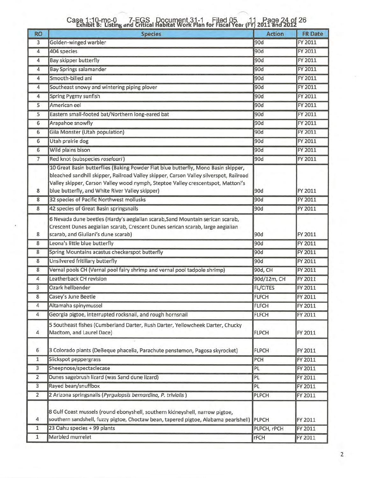## Case 1:10-mc-0 7-EGS Document 31-1 Filed 05, [1] Page 24 of 26<br>Exhibit B: Listing and Critical Habitat Work Plan for Fiscal Year (FV) 2011 and 2012

| <b>RO</b>      | <b>Species</b>                                                                                                                                                                                                                                                                                                      | <b>Action</b>   | <b>FR Date</b> |
|----------------|---------------------------------------------------------------------------------------------------------------------------------------------------------------------------------------------------------------------------------------------------------------------------------------------------------------------|-----------------|----------------|
| 3              | Golden-winged warbler                                                                                                                                                                                                                                                                                               | 90d             | FY 2011        |
| 4              | 404 species                                                                                                                                                                                                                                                                                                         | 90d             | FY 2011        |
| 4              | Bay skipper butterfly                                                                                                                                                                                                                                                                                               | 90d             | FY 2011        |
| 4              | Bay Springs salamander                                                                                                                                                                                                                                                                                              | 90d             | FY 2011        |
| 4              | Smooth-billed ani                                                                                                                                                                                                                                                                                                   | 90d             | FY 2011        |
| 4              | Southeast snowy and wintering piping plover                                                                                                                                                                                                                                                                         | 90d             | FY 2011        |
| 4              | <b>Spring Pygmy sunfish</b>                                                                                                                                                                                                                                                                                         | 90d             | FY 2011        |
| 5              | American eel                                                                                                                                                                                                                                                                                                        | 90d             | FY 2011        |
| 5              | Eastern small-footed bat/Northern long-eared bat                                                                                                                                                                                                                                                                    | 90d             | FY 2011        |
| 6              | Arapahoe snowfly                                                                                                                                                                                                                                                                                                    | 90d             | FY 2011        |
| 6              | Gila Monster (Utah population)                                                                                                                                                                                                                                                                                      | 90d             | FY 2011        |
| 6              | Utah prairie dog                                                                                                                                                                                                                                                                                                    | 90d             | FY 2011        |
| 6              | Wild plains bison                                                                                                                                                                                                                                                                                                   | 90d             | FY 2011        |
| $\overline{7}$ | Red knot (subspecies roselaari)                                                                                                                                                                                                                                                                                     | 90d             | FY 2011        |
| 8              | 10 Great Basin butterflies (Baking Powder Flat blue butterfly, Mono Basin skipper,<br>bleached sandhill skipper, Railroad Valley skipper, Carson Valley silverspot, Railroad<br>Valley skipper, Carson Valley wood nymph, Steptoe Valley crescentspot, Mattoni's<br>blue butterfly, and White River Valley skipper) | 90d             | FY 2011        |
| 8              | 32 species of Pacific Northwest mollusks                                                                                                                                                                                                                                                                            | 90d             | FY 2011        |
| 8              | 42 species of Great Basin springsnails                                                                                                                                                                                                                                                                              | 90d             | FY 2011        |
| 8              | 6 Nevada dune beetles (Hardy's aegialian scarab, Sand Mountain serican scarab,<br>Crescent Dunes aegialian scarab, Crescent Dunes serican scarab, large aegialian<br>scarab, and Giuliani's dune scarab)                                                                                                            | 90d             | FY 2011        |
| 8              | Leona's little blue butterfly                                                                                                                                                                                                                                                                                       | 90d             | FY 2011        |
| 8              | Spring Mountains acastus checkerspot butterfly                                                                                                                                                                                                                                                                      | 90d             | FY 2011        |
| 8              | Unsilvered fritillary butterfly                                                                                                                                                                                                                                                                                     | 90d             | FY 2011        |
| 8              | Vernal pools CH (Vernal pool fairy shrimp and vernal pool tadpole shrimp)                                                                                                                                                                                                                                           | 90d, CH         | FY 2011        |
| $\overline{4}$ | Leatherback CH revision                                                                                                                                                                                                                                                                                             | 90d/12m, CH     | FY 2011        |
| 3              | Ozark hellbender                                                                                                                                                                                                                                                                                                    | <b>FL/CITES</b> | FY 2011        |
| 8              | Casey's June Beetle                                                                                                                                                                                                                                                                                                 | <b>FLFCH</b>    | FY 2011        |
| 4              | Altamaha spinymussel                                                                                                                                                                                                                                                                                                | <b>FLFCH</b>    | FY 2011        |
| 4              | Georgia pigtoe, interrupted rocksnail, and rough hornsnail                                                                                                                                                                                                                                                          | <b>FLFCH</b>    | FY 2011        |
| 4              | 5 Southeast fishes (Cumberland Darter, Rush Darter, Yellowcheek Darter, Chucky<br>Madtom, and Laurel Dace)                                                                                                                                                                                                          | <b>FLPCH</b>    | FY 2011        |
| 6              | 3 Colorado plants (DeBeque phacelia, Parachute penstemon, Pagosa skyrocket)                                                                                                                                                                                                                                         | <b>FLPCH</b>    | FY 2011        |
| $\mathbf{1}$   | Slickspot peppergrass                                                                                                                                                                                                                                                                                               | PCH             | FY 2011        |
| 3              | Sheepnose/spectaclecase                                                                                                                                                                                                                                                                                             | PL              | FY 2011        |
| $\overline{2}$ | Dunes sagebrush lizard (was Sand dune lizard)                                                                                                                                                                                                                                                                       | PL              | FY 2011        |
| 3              | Rayed bean/snuffbox                                                                                                                                                                                                                                                                                                 | PL              | FY 2011        |
| $\overline{2}$ | 2 Arizona springsnails (Pyrgulopsis bernardina, P. trivialis)                                                                                                                                                                                                                                                       | <b>PLPCH</b>    | FY 2011        |
| 4              | 8 Gulf Coast mussels (round ebonyshell, southern kidneyshell, narrow pigtoe,<br>southern sandshell, fuzzy pigtoe, Choctaw bean, tapered pigtoe, Alabama pearlshell) PLPCH                                                                                                                                           |                 | FY 2011        |
| $\mathbf{1}$   | 23 Oahu species + 99 plants                                                                                                                                                                                                                                                                                         | PLPCH, rPCH     | FY 2011        |
| 1              | Marbled murrelet                                                                                                                                                                                                                                                                                                    | <b>rFCH</b>     | FY 2011        |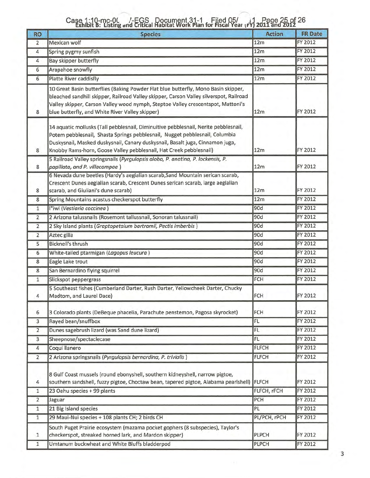## Case 1:10-mc-0( /-EGS Document 31-1 Filed 05/<br>Exhibit B: Listing and Critical Habitat Work Plan for Fiscal Year (FV) 2011 and 2012

| <b>RO</b>      | <b>Species</b>                                                                                                                                                                                                                                                                                                            | <b>Action</b> | <b>FR Date</b> |
|----------------|---------------------------------------------------------------------------------------------------------------------------------------------------------------------------------------------------------------------------------------------------------------------------------------------------------------------------|---------------|----------------|
| $\overline{2}$ | Mexican wolf                                                                                                                                                                                                                                                                                                              | 12m           | FY 2012        |
| 4              | Spring pygmy sunfish                                                                                                                                                                                                                                                                                                      | 12m           | FY 2012        |
| 4              | Bay skipper butterfly                                                                                                                                                                                                                                                                                                     | 12m           | FY 2012        |
| 6              | Arapahoe snowfly                                                                                                                                                                                                                                                                                                          | 12m           | FY 2012        |
| 6              | <b>Platte River caddisfly</b>                                                                                                                                                                                                                                                                                             | 12m           | FY 2012        |
| 8              | 10 Great Basin butterflies (Baking Powder Flat blue butterfly, Mono Basin skipper,<br>bleached sandhill skipper, Railroad Valley skipper, Carson Valley silverspot, Railroad<br>Valley skipper, Carson Valley wood nymph, Steptoe Valley crescentspot, Mattoni's<br>blue butterfly, and White River Valley skipper)       | 12m           | FY 2012        |
| 8              | 14 aquatic mollusks (Tall pebblesnail, Diminuitive pebblesnail, Nerite pebblesnail,<br>Potem pebblesnail, Shasta Springs pebblesnail, Nugget pebblesnail, Columbia<br>Duskysnail, Masked duskysnail, Canary duskysnail, Basalt juga, Cinnamon juga,<br>Knobby Rams-horn, Goose Valley pebblesnail, Hat Creek pebblesnail) | 12m           | FY 2012        |
| 8              | 5 Railroad Valley springsnails (Pyrgulopsis aloba, P. anatina, P. lockensis, P.<br>papillata, and P. villacampae)                                                                                                                                                                                                         | 12m           | FY 2012        |
| 8              | 6 Nevada dune beetles (Hardy's aegialian scarab, Sand Mountain serican scarab,<br>Crescent Dunes aegialian scarab, Crescent Dunes serican scarab, large aegialian<br>scarab, and Giuliani's dune scarab)                                                                                                                  | 12m           | FY 2012        |
| 8              | Spring Mountains acastus checkerspot butterfly                                                                                                                                                                                                                                                                            | 12m           | FY 2012        |
| $\mathbf{1}$   | l"iwi (Vestiaria coccinea)                                                                                                                                                                                                                                                                                                | 90d           | FY 2012        |
| 2              | 2 Arizona talussnails (Rosemont tallussnail, Sonoran talussnail)                                                                                                                                                                                                                                                          | 90d           | FY 2012        |
| 2              | 2 Sky Island plants (Graptopetalum bartramii, Pectis imberbis)                                                                                                                                                                                                                                                            | 90d           | FY 2012        |
| $\overline{2}$ | Aztec gilia                                                                                                                                                                                                                                                                                                               | 90d           | FY 2012        |
| 5              | Bicknell's thrush                                                                                                                                                                                                                                                                                                         | 90d           | FY 2012        |
| 6              | White-tailed ptarmigan (Lagopus leucura)                                                                                                                                                                                                                                                                                  | 90d           | FY 2012        |
| 8              | Eagle Lake trout                                                                                                                                                                                                                                                                                                          | 90d           | FY 2012        |
| 8              | San Bernardino flying squirrel                                                                                                                                                                                                                                                                                            | 90d           | FY 2012        |
| $\mathbf{1}$   | Slickspot peppergrass                                                                                                                                                                                                                                                                                                     | FCH           | FY 2012        |
| 4              | 5 Southeast fishes (Cumberland Darter, Rush Darter, Yellowcheek Darter, Chucky<br>Madtom, and Laurel Dace)                                                                                                                                                                                                                | FCH           | FY 2012        |
| 6              | 3 Colorado plants (DeBeque phacelia, Parachute penstemon, Pagosa skyrocket)                                                                                                                                                                                                                                               | FCH           | FY 2012        |
| 3              | Rayed bean/snuffbox                                                                                                                                                                                                                                                                                                       | FL            | FY 2012        |
| $\overline{2}$ | Dunes sagebrush lizard (was Sand dune lizard)                                                                                                                                                                                                                                                                             | FL            | FY 2012        |
| 3              | Sheepnose/spectaclecase                                                                                                                                                                                                                                                                                                   | FL            | FY 2012        |
| 4              | Coqui llanero                                                                                                                                                                                                                                                                                                             | <b>FLFCH</b>  | FY 2012        |
| $\overline{2}$ | 2 Arizona springsnails (Pyrgulopsis bernardina, P. trivialis)                                                                                                                                                                                                                                                             | <b>FLFCH</b>  | FY 2012        |
| 4              | 8 Gulf Coast mussels (round ebonyshell, southern kidneyshell, narrow pigtoe,<br>southern sandshell, fuzzy pigtoe, Choctaw bean, tapered pigtoe, Alabama pearlshell)                                                                                                                                                       | FLFCH         | FY 2012        |
| $\mathbf{1}$   | 23 Oahu species + 99 plants                                                                                                                                                                                                                                                                                               | FLFCH, rFCH   | FY 2012        |
| $\overline{2}$ | Jaguar                                                                                                                                                                                                                                                                                                                    | PCH           | FY 2012        |
| $\mathbf{1}$   | 21 Big Island species                                                                                                                                                                                                                                                                                                     | PL            | FY 2012        |
| $\mathbf{1}$   | 29 Maui-Nui species + 108 plants CH; 2 birds CH                                                                                                                                                                                                                                                                           | PL/PCH, rPCH  | FY 2012        |
| $\mathbf{1}$   | South Puget Prairie ecosystem (mazama pocket gophers (8 subspecies), Taylor's<br>checkerspot, streaked horned lark, and Mardon skipper)                                                                                                                                                                                   | PLPCH         | FY 2012        |
| $\mathbf{1}$   | Umtanum buckwheat and White Bluffs bladderpod                                                                                                                                                                                                                                                                             | PLPCH         | FY 2012        |